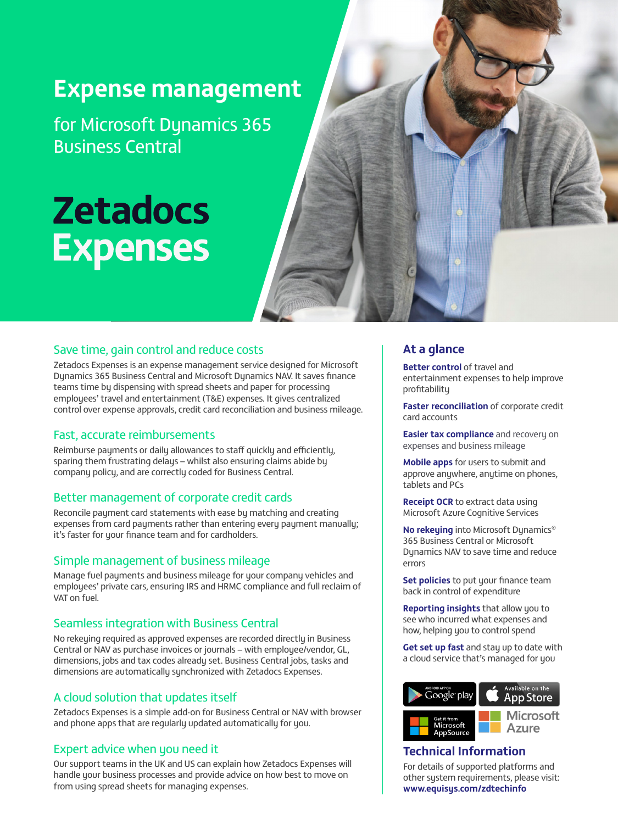# **Expense management**

for Microsoft Dynamics 365 Business Central

# **Zetadocs Expenses**

# Save time, gain control and reduce costs

Zetadocs Expenses is an expense management service designed for Microsoft Dynamics 365 Business Central and Microsoft Dynamics NAV. It saves finance teams time by dispensing with spread sheets and paper for processing employees' travel and entertainment (T&E) expenses. It gives centralized control over expense approvals, credit card reconciliation and business mileage.

## Fast, accurate reimbursements

Reimburse payments or daily allowances to staff quickly and efficiently, sparing them frustrating delays – whilst also ensuring claims abide by company policy, and are correctly coded for Business Central.

### Better management of corporate credit cards

Reconcile payment card statements with ease by matching and creating expenses from card payments rather than entering every payment manually; it's faster for your finance team and for cardholders.

# Simple management of business mileage

Manage fuel payments and business mileage for your company vehicles and employees' private cars, ensuring IRS and HRMC compliance and full reclaim of VAT on fuel.

### Seamless integration with Business Central

No rekeying required as approved expenses are recorded directly in Business Central or NAV as purchase invoices or journals – with employee/vendor, GL, dimensions, jobs and tax codes already set. Business Central jobs, tasks and dimensions are automatically synchronized with Zetadocs Expenses.

# A cloud solution that updates itself

Zetadocs Expenses is a simple add-on for Business Central or NAV with browser and phone apps that are regularly updated automatically for you.

# Expert advice when you need it

Our support teams in the UK and US can explain how Zetadocs Expenses will handle your business processes and provide advice on how best to move on from using spread sheets for managing expenses.

# **At a glance**

**Better control** of travel and entertainment expenses to help improve profitability

**Faster reconciliation** of corporate credit card accounts

**Easier tax compliance** and recovery on expenses and business mileage

**Mobile apps** for users to submit and approve anywhere, anytime on phones, tablets and PCs

**Receipt OCR** to extract data using Microsoft Azure Cognitive Services

**No rekeying** into Microsoft Dynamics® 365 Business Central or Microsoft Dynamics NAV to save time and reduce errors

**Set policies** to put your finance team back in control of expenditure

**Reporting insights** that allow you to see who incurred what expenses and how, helping you to control spend

**Get set up fast** and stay up to date with a cloud service that's managed for you



# **Technical Information**

For details of supported platforms and other system requirements, please visit: **[www.equisys.com/zdtechinfo](https://www.equisys.com/zdtechinfo)**